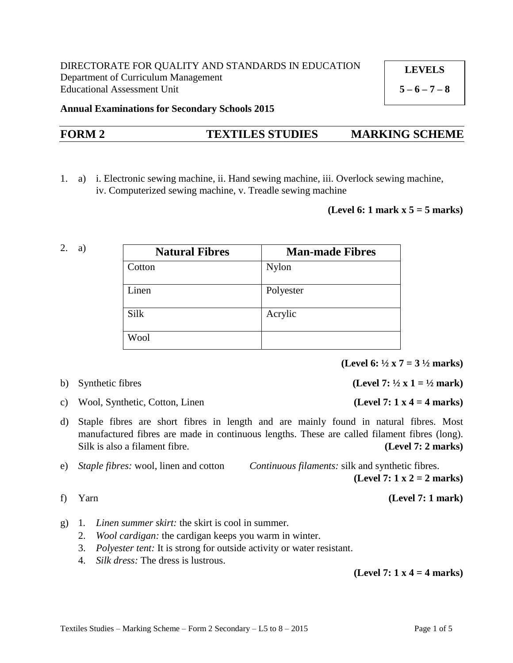**LEVELS**

 $5 - 6 - 7 - 8$ 

**Annual Examinations for Secondary Schools 2015**

# **FORM 2 TEXTILES STUDIES MARKING SCHEME**

1. a) i. Electronic sewing machine, ii. Hand sewing machine, iii. Overlock sewing machine, iv. Computerized sewing machine, v. Treadle sewing machine

### **(Level 6: 1 mark x 5 = 5 marks)**

2. a)

| <b>Natural Fibres</b> | <b>Man-made Fibres</b> |
|-----------------------|------------------------|
| Cotton                | <b>Nylon</b>           |
| Linen                 | Polyester              |
| Silk                  | Acrylic                |
| Wool                  |                        |

**(Level 6: ½ x 7 = 3 ½ marks)**

b) Synthetic fibres **(Level 7:**  $\frac{1}{2}x \mathbf{1} = \frac{1}{2} \text{ mark}$ )

- c) Wool, Synthetic, Cotton, Linen **(Level 7: 1 x 4 = 4 marks)**
- d) Staple fibres are short fibres in length and are mainly found in natural fibres. Most manufactured fibres are made in continuous lengths. These are called filament fibres (long). Silk is also a filament fibre. **(Level 7: 2 marks)**
- e) *Staple fibres:* wool, linen and cotton *Continuous filaments:* silk and synthetic fibres. **(Level 7: 1 x 2 = 2 marks)**

f) Yarn **(Level 7: 1 mark)**

- g) 1*. Linen summer skirt:* the skirt is cool in summer.
	- 2. *Wool cardigan:* the cardigan keeps you warm in winter.
	- 3. *Polyester tent:* It is strong for outside activity or water resistant.
	- 4. *Silk dress:* The dress is lustrous.

**(Level 7: 1 x 4 = 4 marks)**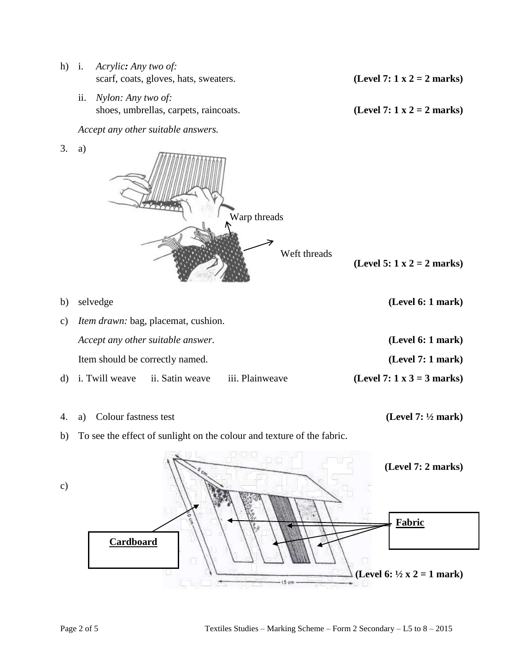- h) i. *Acrylic: Any two of:* scarf, coats, gloves, hats, sweaters. **(Level 7: 1 x 2 = 2 marks)** 
	- ii. *Nylon: Any two of:* shoes, umbrellas, carpets, raincoats. **(Level 7: 1 x 2 = 2 marks)**

*Accept any other suitable answers.* 

3. a)



| b) selvedge                                          | (Level 6: 1 mark)                 |
|------------------------------------------------------|-----------------------------------|
| c) <i>Item drawn:</i> bag, placemat, cushion.        |                                   |
| Accept any other suitable answer.                    | (Level 6: 1 mark)                 |
| Item should be correctly named.                      | (Level 7: 1 mark)                 |
| iii. Plainweave<br>d) i. Twill weave ii. Satin weave | (Level 7: $1 \times 3 = 3$ marks) |

4. a) Colour fastness test **(Level 7: ½ mark)**

b) To see the effect of sunlight on the colour and texture of the fabric.



c)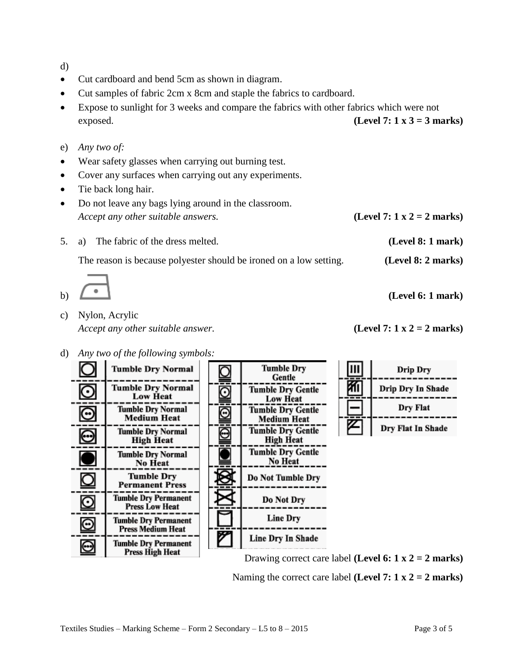d)

- Cut cardboard and bend 5cm as shown in diagram.
- Cut samples of fabric 2cm x 8cm and staple the fabrics to cardboard.
- Expose to sunlight for 3 weeks and compare the fabrics with other fabrics which were not exposed. **(Level 7: 1 x 3 = 3 marks)**
- e) *Any two of:*
- Wear safety glasses when carrying out burning test.
- Cover any surfaces when carrying out any experiments.
- Tie back long hair.
- Do not leave any bags lying around in the classroom. *Accept any other suitable answers.* **(Level 7: 1 x 2 = 2 marks)**
- 5. a) The fabric of the dress melted. **(Level 8: 1 mark)**

The reason is because polyester should be ironed on a low setting. **(Level 8: 2 marks)**



- c) Nylon, Acrylic *Accept any other suitable answer.* **(Level 7: 1 x 2 = 2 marks)**
- d) *Any two of the following symbols:*



Drawing correct care label **(Level 6: 1 x 2 = 2 marks)**

Naming the correct care label **(Level 7: 1 x 2 = 2 marks)**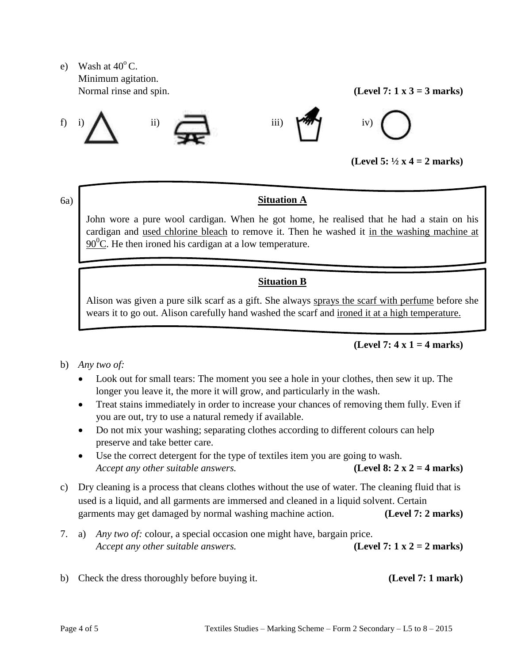e) Wash at  $40^{\circ}$  C. Minimum agitation. Normal rinse and spin.  $(Level 7: 1 x 3 = 3 marks)$ 









**(Level 5: ½ x 4 = 2 marks)**

### 6a)

# **Situation A**

John wore a pure wool cardigan. When he got home, he realised that he had a stain on his cardigan and used chlorine bleach to remove it. Then he washed it in the washing machine at  $90^{\circ}$ C. He then ironed his cardigan at a low temperature.

# **Situation B**

Alison was given a pure silk scarf as a gift. She always sprays the scarf with perfume before she wears it to go out. Alison carefully hand washed the scarf and ironed it at a high temperature.

# **(Level 7: 4 x 1 = 4 marks)**

- b) *Any two of:*
	- Look out for small tears: The moment you see a hole in your clothes, then sew it up. The longer you leave it, the more it will grow, and particularly in the wash.
	- Treat stains immediately in order to increase your chances of removing them fully. Even if you are out, try to use a natural remedy if available.
	- Do not mix your washing; separating clothes according to different colours can help preserve and take better care.
	- Use the correct detergent for the type of textiles item you are going to wash. *Accept any other suitable answers.* **(Level 8: 2 x 2 = 4 marks)**
- c) Dry cleaning is a process that cleans clothes without the use of water. The cleaning fluid that is used is a liquid, and all garments are immersed and cleaned in a liquid solvent. Certain garments may get damaged by normal washing machine action. **(Level 7: 2 marks)**
- 7. a) *Any two of:* colour, a special occasion one might have, bargain price. *Accept any other suitable answers.* **(Level 7: 1 x 2 = 2 marks)**
- b) Check the dress thoroughly before buying it. **(Level 7: 1 mark)**